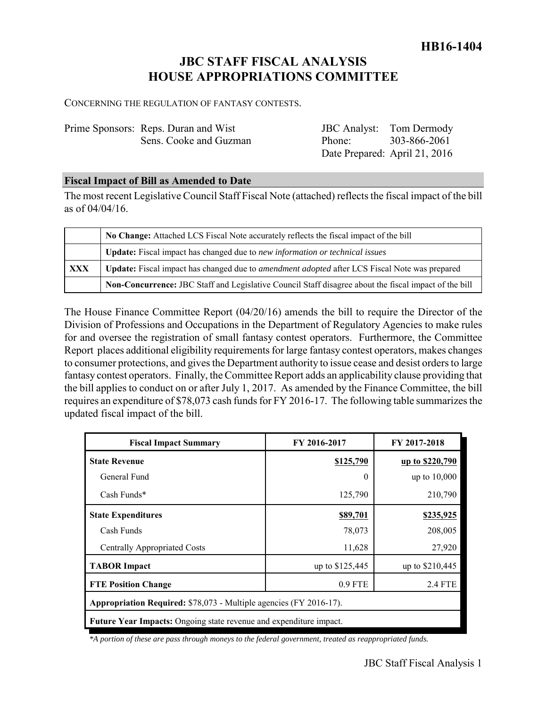# **JBC STAFF FISCAL ANALYSIS HOUSE APPROPRIATIONS COMMITTEE**

CONCERNING THE REGULATION OF FANTASY CONTESTS.

| Prime Sponsors: Reps. Duran and Wist |
|--------------------------------------|
| Sens. Cooke and Guzman               |

JBC Analyst: Tom Dermody Phone: Date Prepared: April 21, 2016 303-866-2061

#### **Fiscal Impact of Bill as Amended to Date**

The most recent Legislative Council Staff Fiscal Note (attached) reflects the fiscal impact of the bill as of 04/04/16.

|            | No Change: Attached LCS Fiscal Note accurately reflects the fiscal impact of the bill                 |  |
|------------|-------------------------------------------------------------------------------------------------------|--|
|            | Update: Fiscal impact has changed due to new information or technical issues                          |  |
| <b>XXX</b> | Update: Fiscal impact has changed due to <i>amendment adopted</i> after LCS Fiscal Note was prepared  |  |
|            | Non-Concurrence: JBC Staff and Legislative Council Staff disagree about the fiscal impact of the bill |  |

The House Finance Committee Report (04/20/16) amends the bill to require the Director of the Division of Professions and Occupations in the Department of Regulatory Agencies to make rules for and oversee the registration of small fantasy contest operators. Furthermore, the Committee Report places additional eligibility requirements for large fantasy contest operators, makes changes to consumer protections, and gives the Department authority to issue cease and desist orders to large fantasy contest operators. Finally, the Committee Report adds an applicability clause providing that the bill applies to conduct on or after July 1, 2017. As amended by the Finance Committee, the bill requires an expenditure of \$78,073 cash funds for FY 2016-17. The following table summarizes the updated fiscal impact of the bill.

| <b>Fiscal Impact Summary</b>                                       | FY 2016-2017    | FY 2017-2018     |
|--------------------------------------------------------------------|-----------------|------------------|
| <b>State Revenue</b>                                               | \$125,790       | up to \$220,790  |
| General Fund                                                       | 0               | up to $10,000$   |
| Cash Funds*                                                        | 125,790         | 210,790          |
| <b>State Expenditures</b>                                          | \$89,701        | <u>\$235,925</u> |
| Cash Funds                                                         | 78,073          | 208,005          |
| <b>Centrally Appropriated Costs</b>                                | 11,628          | 27,920           |
| <b>TABOR Impact</b>                                                | up to \$125,445 | up to \$210,445  |
| <b>FTE Position Change</b>                                         | $0.9$ FTE       | 2.4 FTE          |
| Appropriation Required: \$78,073 - Multiple agencies (FY 2016-17). |                 |                  |
| Future Year Impacts: Ongoing state revenue and expenditure impact. |                 |                  |

 *\*A portion of these are pass through moneys to the federal government, treated as reappropriated funds.*